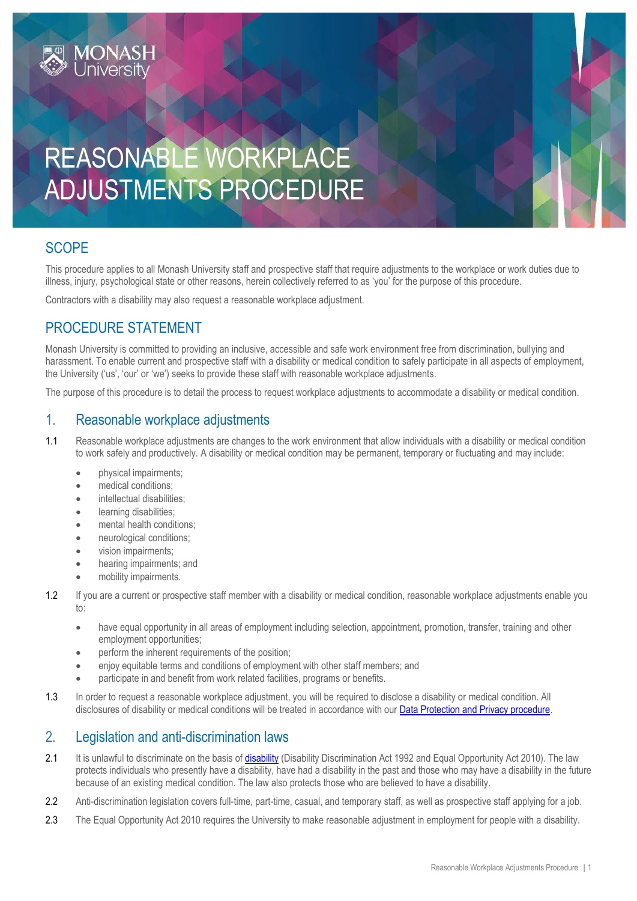# REASONABLE WORKPLACE ADJUSTMENTS PROCEDURE

## **SCOPE**

This procedure applies to all Monash University staff and prospective staff that require adjustments to the workplace or work duties due to illness, injury, psychological state or other reasons, herein collectively referred to as 'you' for the purpose of this procedure.

Contractors with a disability may also request a reasonable workplace adjustment.

## PROCEDURE STATEMENT

Monash University is committed to providing an inclusive, accessible and safe work environment free from discrimination, bullying and harassment. To enable current and prospective staff with a disability or medical condition to safely participate in all aspects of employment, the University ('us', 'our' or 'we') seeks to provide these staff with reasonable workplace adjustments.

The purpose of this procedure is to detail the process to request workplace adjustments to accommodate a disability or medical condition.

## 1. Reasonable workplace adjustments

- 1.1 Reasonable workplace adjustments are changes to the work environment that allow individuals with a disability or medical condition to work safely and productively. A disability or medical condition may be permanent, temporary or fluctuating and may include:
	- physical impairments;
	- medical conditions;
	- intellectual disabilities:
	- **•** learning disabilities;
	- mental health conditions;
	- neurological conditions:
	- vision impairments;
	- hearing impairments; and
	- mobility impairments.
- 1.2 If you are a current or prospective staff member with a disability or medical condition, reasonable workplace adjustments enable you to:
	- have equal opportunity in all areas of employment including selection, appointment, promotion, transfer, training and other employment opportunities;
	- perform the inherent requirements of the position;
	- enjoy equitable terms and conditions of employment with other staff members; and
	- participate in and benefit from work related facilities, programs or benefits.
- 1.3 In order to request a reasonable workplace adjustment, you will be required to disclose a disability or medical condition. All disclosures of disability or medical conditions will be treated in accordance with ou[r Data Protection and Privacy procedure.](https://publicpolicydms.monash.edu/Monash/documents/1909233)

## 2. Legislation and anti-discrimination laws

- 2.1 It is unlawful to discriminate on the basis of [disability](#page-2-0) (Disability Discrimination Act 1992 and Equal Opportunity Act 2010). The law protects individuals who presently have a disability, have had a disability in the past and those who may have a disability in the future because of an existing medical condition. The law also protects those who are believed to have a disability.
- 2.2 Anti-discrimination legislation covers full-time, part-time, casual, and temporary staff, as well as prospective staff applying for a job.
- 2.3 The Equal Opportunity Act 2010 requires the University to make reasonable adjustment in employment for people with a disability.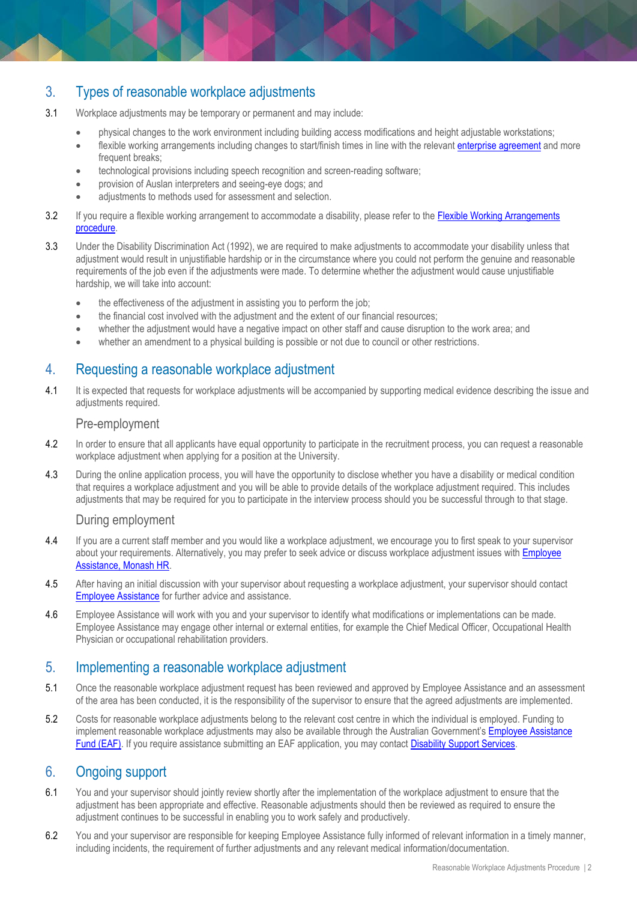## 3. Types of reasonable workplace adjustments

- 3.1 Workplace adjustments may be temporary or permanent and may include:
	- physical changes to the work environment including building access modifications and height adjustable workstations;
	- **•** flexible working arrangements including changes to start/finish times in line with the relevan[t enterprise agreement](https://www.monash.edu/current-enterprise-agreements) and more frequent breaks:
	- technological provisions including speech recognition and screen-reading software;
	- provision of Auslan interpreters and seeing-eye dogs; and
	- adjustments to methods used for assessment and selection.
- 3.2 If you require a flexible working arrangement to accommodate a disability, please refer to the [Flexible Working Arrangements](https://publicpolicydms.monash.edu/Monash/documents/1935686) [procedure.](https://publicpolicydms.monash.edu/Monash/documents/1935686)
- 3.3 Under the Disability Discrimination Act (1992), we are required to make adjustments to accommodate your disability unless that adjustment would result in unjustifiable hardship or in the circumstance where you could not perform the genuine and reasonable requirements of the job even if the adjustments were made. To determine whether the adjustment would cause unjustifiable hardship, we will take into account:
	- the effectiveness of the adjustment in assisting you to perform the job;
	- the financial cost involved with the adjustment and the extent of our financial resources;
	- whether the adjustment would have a negative impact on other staff and cause disruption to the work area; and
	- whether an amendment to a physical building is possible or not due to council or other restrictions.

## 4. Requesting a reasonable workplace adjustment

4.1 It is expected that requests for workplace adjustments will be accompanied by supporting medical evidence describing the issue and adjustments required.

#### Pre-employment

- 4.2 In order to ensure that all applicants have equal opportunity to participate in the recruitment process, you can request a reasonable workplace adjustment when applying for a position at the University.
- 4.3 During the online application process, you will have the opportunity to disclose whether you have a disability or medical condition that requires a workplace adjustment and you will be able to provide details of the workplace adjustment required. This includes adjustments that may be required for you to participate in the interview process should you be successful through to that stage.

#### During employment

- 4.4 If you are a current staff member and you would like a workplace adjustment, we encourage you to first speak to your supervisor about your requirements. Alternatively, you may prefer to seek advice or discuss workplace adjustment issues with **Employee** [Assistance, Monash HR.](https://www.intranet.monash/hr/tools-and-resources/staff-resources/employee-assistance)
- 4.5 After having an initial discussion with your supervisor about requesting a workplace adjustment, your supervisor should contact [Employee Assistance](https://www.intranet.monash/hr/tools-and-resources/staff-resources/employee-assistance) for further advice and assistance.
- 4.6 Employee Assistance will work with you and your supervisor to identify what modifications or implementations can be made. Employee Assistance may engage other internal or external entities, for example the Chief Medical Officer, Occupational Health Physician or occupational rehabilitation providers.

## 5. Implementing a reasonable workplace adjustment

- 5.1 Once the reasonable workplace adjustment request has been reviewed and approved by Employee Assistance and an assessment of the area has been conducted, it is the responsibility of the supervisor to ensure that the agreed adjustments are implemented.
- 5.2 Costs for reasonable workplace adjustments belong to the relevant cost centre in which the individual is employed. Funding to implement reasonable workplace adjustments may also be available through the Australian Government's Employee Assistance [Fund \(EAF\).](https://www.jobaccess.gov.au/employment-assistance-fund-eaf) If you require assistance submitting an EAF application, you may contact Disability Support Services.

## 6. Ongoing support

- 6.1 You and your supervisor should jointly review shortly after the implementation of the workplace adjustment to ensure that the adjustment has been appropriate and effective. Reasonable adjustments should then be reviewed as required to ensure the adjustment continues to be successful in enabling you to work safely and productively.
- 6.2 You and your supervisor are responsible for keeping Employee Assistance fully informed of relevant information in a timely manner, including incidents, the requirement of further adjustments and any relevant medical information/documentation.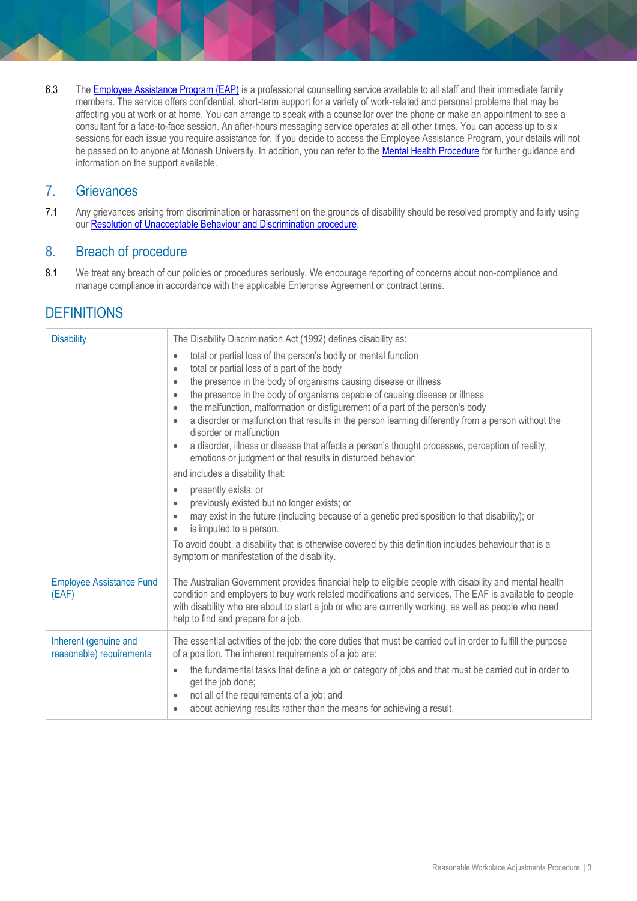6.3 Th[e Employee Assistance Program \(EAP\)](https://www.monash.edu/__data/assets/pdf_file/0011/797456/Employee-assistance.pdf) is a professional counselling service available to all staff and their immediate family members. The service offers confidential, short-term support for a variety of work-related and personal problems that may be affecting you at work or at home. You can arrange to speak with a counsellor over the phone or make an appointment to see a consultant for a face-to-face session. An after-hours messaging service operates at all other times. You can access up to six sessions for each issue you require assistance for. If you decide to access the Employee Assistance Program, your details will not be passed on to anyone at Monash University. In addition, you can refer to th[e Mental Health Procedure](https://publicpolicydms.monash.edu/Monash/documents/1942903) for further guidance and information on the support available.

## 7. Grievances

7.1 Any grievances arising from discrimination or harassment on the grounds of disability should be resolved promptly and fairly using our [Resolution of Unacceptable Behaviour and Discrimination](https://publicpolicydms.monash.edu/Monash/documents/1935718) procedure.

## 8. Breach of procedure

8.1 We treat any breach of our policies or procedures seriously. We encourage reporting of concerns about non-compliance and manage compliance in accordance with the applicable Enterprise Agreement or contract terms.

## **DEFINITIONS**

<span id="page-2-0"></span>

| <b>Disability</b>                                 | The Disability Discrimination Act (1992) defines disability as:                                                                                                                                                                                                                                                                                                                                                                                                                                                                                                                                                                                                                                                                                                                       |
|---------------------------------------------------|---------------------------------------------------------------------------------------------------------------------------------------------------------------------------------------------------------------------------------------------------------------------------------------------------------------------------------------------------------------------------------------------------------------------------------------------------------------------------------------------------------------------------------------------------------------------------------------------------------------------------------------------------------------------------------------------------------------------------------------------------------------------------------------|
|                                                   | total or partial loss of the person's bodily or mental function<br>$\bullet$<br>total or partial loss of a part of the body<br>$\bullet$<br>the presence in the body of organisms causing disease or illness<br>$\bullet$<br>the presence in the body of organisms capable of causing disease or illness<br>$\bullet$<br>the malfunction, malformation or disfigurement of a part of the person's body<br>$\bullet$<br>a disorder or malfunction that results in the person learning differently from a person without the<br>$\bullet$<br>disorder or malfunction<br>a disorder, illness or disease that affects a person's thought processes, perception of reality,<br>$\bullet$<br>emotions or judgment or that results in disturbed behavior;<br>and includes a disability that: |
|                                                   | presently exists; or<br>$\bullet$<br>previously existed but no longer exists; or<br>$\bullet$<br>may exist in the future (including because of a genetic predisposition to that disability); or<br>$\bullet$<br>is imputed to a person.<br>$\bullet$<br>To avoid doubt, a disability that is otherwise covered by this definition includes behaviour that is a<br>symptom or manifestation of the disability.                                                                                                                                                                                                                                                                                                                                                                         |
| <b>Employee Assistance Fund</b><br>(EAF)          | The Australian Government provides financial help to eligible people with disability and mental health<br>condition and employers to buy work related modifications and services. The EAF is available to people<br>with disability who are about to start a job or who are currently working, as well as people who need<br>help to find and prepare for a job.                                                                                                                                                                                                                                                                                                                                                                                                                      |
| Inherent (genuine and<br>reasonable) requirements | The essential activities of the job: the core duties that must be carried out in order to fulfill the purpose<br>of a position. The inherent requirements of a job are:<br>the fundamental tasks that define a job or category of jobs and that must be carried out in order to<br>$\bullet$<br>get the job done;<br>not all of the requirements of a job; and<br>$\bullet$<br>about achieving results rather than the means for achieving a result.<br>$\bullet$                                                                                                                                                                                                                                                                                                                     |